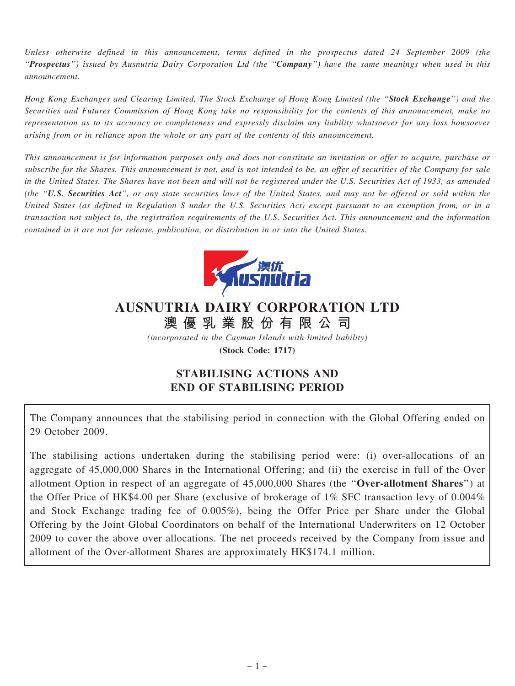Unless otherwise defined in this announcement, terms defined in the prospectus dated 24 September 2009 (the ''Prospectus'') issued by Ausnutria Dairy Corporation Ltd (the ''Company'') have the same meanings when used in this announcement.

Hong Kong Exchanges and Clearing Limited, The Stock Exchange of Hong Kong Limited (the "Stock Exchange") and the Securities and Futures Commission of Hong Kong take no responsibility for the contents of this announcement, make no representation as to its accuracy or completeness and expressly disclaim any liability whatsoever for any loss howsoever arising from or in reliance upon the whole or any part of the contents of this announcement.

This announcement is for information purposes only and does not constitute an invitation or offer to acquire, purchase or subscribe for the Shares. This announcement is not, and is not intended to be, an offer of securities of the Company for sale in the United States. The Shares have not been and will not be registered under the U.S. Securities Act of 1933, as amended (the ''U.S. Securities Act'', or any state securities laws of the United States, and may not be offered or sold within the United States (as defined in Regulation S under the U.S. Securities Act) except pursuant to an exemption from, or in a transaction not subject to, the registration requirements of the U.S. Securities Act. This announcement and the information contained in it are not for release, publication, or distribution in or into the United States.



## AUSNUTRIA DAIRY CORPORATION LTD 澳 優 乳 業 股 份 有 限 公 司

(incorporated in the Cayman Islands with limited liability)

(Stock Code: 1717)

## STABILISING ACTIONS AND END OF STABILISING PERIOD

The Company announces that the stabilising period in connection with the Global Offering ended on 29 October 2009.

The stabilising actions undertaken during the stabilising period were: (i) over-allocations of an aggregate of 45,000,000 Shares in the International Offering; and (ii) the exercise in full of the Over allotment Option in respect of an aggregate of 45,000,000 Shares (the ''Over-allotment Shares'') at the Offer Price of HK\$4.00 per Share (exclusive of brokerage of 1% SFC transaction levy of 0.004% and Stock Exchange trading fee of 0.005%), being the Offer Price per Share under the Global Offering by the Joint Global Coordinators on behalf of the International Underwriters on 12 October 2009 to cover the above over allocations. The net proceeds received by the Company from issue and allotment of the Over-allotment Shares are approximately HK\$174.1 million.